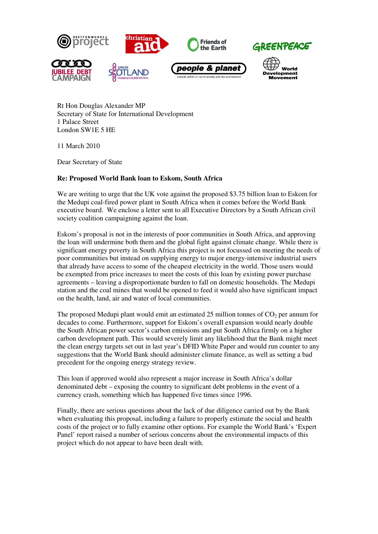

Rt Hon Douglas Alexander MP Secretary of State for International Development 1 Palace Street London SW1E 5 HE

11 March 2010

Dear Secretary of State

## **Re: Proposed World Bank loan to Eskom, South Africa**

We are writing to urge that the UK vote against the proposed \$3.75 billion loan to Eskom for the Medupi coal-fired power plant in South Africa when it comes before the World Bank executive board. We enclose a letter sent to all Executive Directors by a South African civil society coalition campaigning against the loan.

Eskom's proposal is not in the interests of poor communities in South Africa, and approving the loan will undermine both them and the global fight against climate change. While there is significant energy poverty in South Africa this project is not focussed on meeting the needs of poor communities but instead on supplying energy to major energy-intensive industrial users that already have access to some of the cheapest electricity in the world. Those users would be exempted from price increases to meet the costs of this loan by existing power purchase agreements – leaving a disproportionate burden to fall on domestic households. The Medupi station and the coal mines that would be opened to feed it would also have significant impact on the health, land, air and water of local communities.

The proposed Medupi plant would emit an estimated 25 million tonnes of  $CO<sub>2</sub>$  per annum for decades to come. Furthermore, support for Eskom's overall expansion would nearly double the South African power sector's carbon emissions and put South Africa firmly on a higher carbon development path. This would severely limit any likelihood that the Bank might meet the clean energy targets set out in last year's DFID White Paper and would run counter to any suggestions that the World Bank should administer climate finance, as well as setting a bad precedent for the ongoing energy strategy review.

This loan if approved would also represent a major increase in South Africa's dollar denominated debt – exposing the country to significant debt problems in the event of a currency crash, something which has happened five times since 1996.

Finally, there are serious questions about the lack of due diligence carried out by the Bank when evaluating this proposal, including a failure to properly estimate the social and health costs of the project or to fully examine other options. For example the World Bank's 'Expert Panel' report raised a number of serious concerns about the environmental impacts of this project which do not appear to have been dealt with.